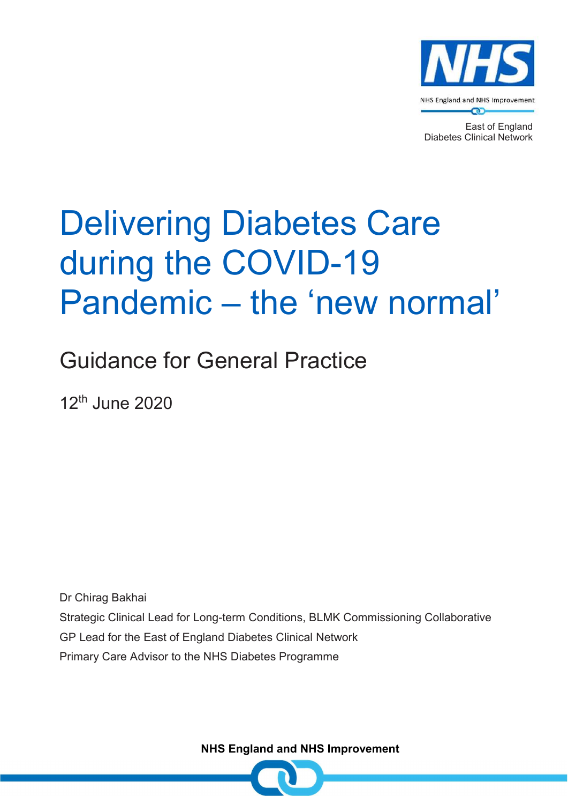

East of England Diabetes Clinical Network

# Delivering Diabetes Care during the COVID-19 Pandemic – the 'new normal'

Guidance for General Practice

12th June 2020

Dr Chirag Bakhai Strategic Clinical Lead for Long-term Conditions, BLMK Commissioning Collaborative GP Lead for the East of England Diabetes Clinical Network Primary Care Advisor to the NHS Diabetes Programme

NHS England and NHS Improvement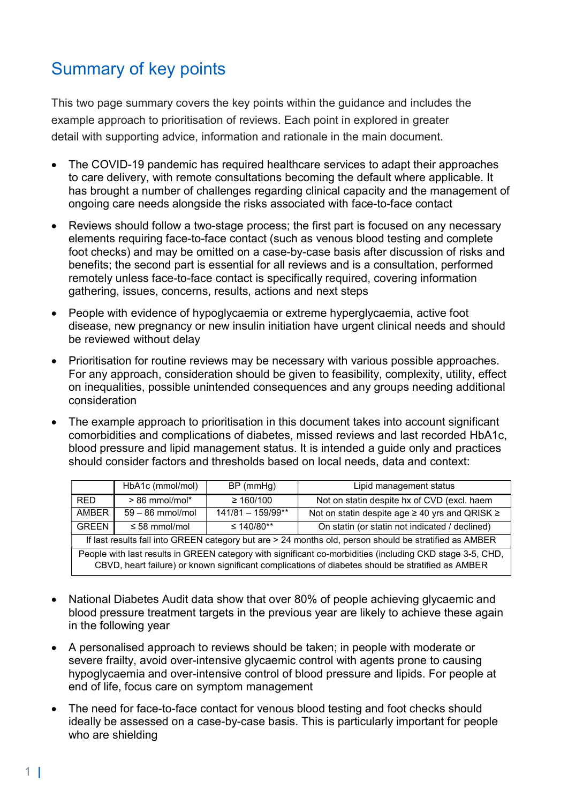## Summary of key points

This two page summary covers the key points within the guidance and includes the example approach to prioritisation of reviews. Each point in explored in greater detail with supporting advice, information and rationale in the main document.

- The COVID-19 pandemic has required healthcare services to adapt their approaches to care delivery, with remote consultations becoming the default where applicable. It has brought a number of challenges regarding clinical capacity and the management of ongoing care needs alongside the risks associated with face-to-face contact
- Reviews should follow a two-stage process; the first part is focused on any necessary elements requiring face-to-face contact (such as venous blood testing and complete foot checks) and may be omitted on a case-by-case basis after discussion of risks and benefits; the second part is essential for all reviews and is a consultation, performed remotely unless face-to-face contact is specifically required, covering information gathering, issues, concerns, results, actions and next steps
- People with evidence of hypoglycaemia or extreme hyperglycaemia, active foot disease, new pregnancy or new insulin initiation have urgent clinical needs and should be reviewed without delay
- Prioritisation for routine reviews may be necessary with various possible approaches. For any approach, consideration should be given to feasibility, complexity, utility, effect on inequalities, possible unintended consequences and any groups needing additional consideration
- The example approach to prioritisation in this document takes into account significant comorbidities and complications of diabetes, missed reviews and last recorded HbA1c, blood pressure and lipid management status. It is intended a guide only and practices should consider factors and thresholds based on local needs, data and context:

|                                                                                                           | HbA1c (mmol/mol)   | $BP$ (mmHg)         | Lipid management status                                  |  |  |
|-----------------------------------------------------------------------------------------------------------|--------------------|---------------------|----------------------------------------------------------|--|--|
|                                                                                                           |                    |                     |                                                          |  |  |
| <b>RED</b>                                                                                                | $> 86$ mmol/mol*   | $\geq 160/100$      | Not on statin despite hx of CVD (excl. haem              |  |  |
| <b>AMBER</b>                                                                                              | $59 - 86$ mmol/mol | $141/81 - 159/99**$ | Not on statin despite age $\geq$ 40 yrs and QRISK $\geq$ |  |  |
| <b>GREEN</b>                                                                                              | $\leq$ 58 mmol/mol | ≤ 140/80**          | On statin (or statin not indicated / declined)           |  |  |
| If last results fall into GREEN category but are > 24 months old, person should be stratified as AMBER    |                    |                     |                                                          |  |  |
| People with last results in GREEN category with significant co-morbidities (including CKD stage 3-5, CHD, |                    |                     |                                                          |  |  |
| CBVD, heart failure) or known significant complications of diabetes should be stratified as AMBER         |                    |                     |                                                          |  |  |

- National Diabetes Audit data show that over 80% of people achieving glycaemic and blood pressure treatment targets in the previous year are likely to achieve these again in the following year
- A personalised approach to reviews should be taken; in people with moderate or severe frailty, avoid over-intensive glycaemic control with agents prone to causing hypoglycaemia and over-intensive control of blood pressure and lipids. For people at end of life, focus care on symptom management
- The need for face-to-face contact for venous blood testing and foot checks should ideally be assessed on a case-by-case basis. This is particularly important for people who are shielding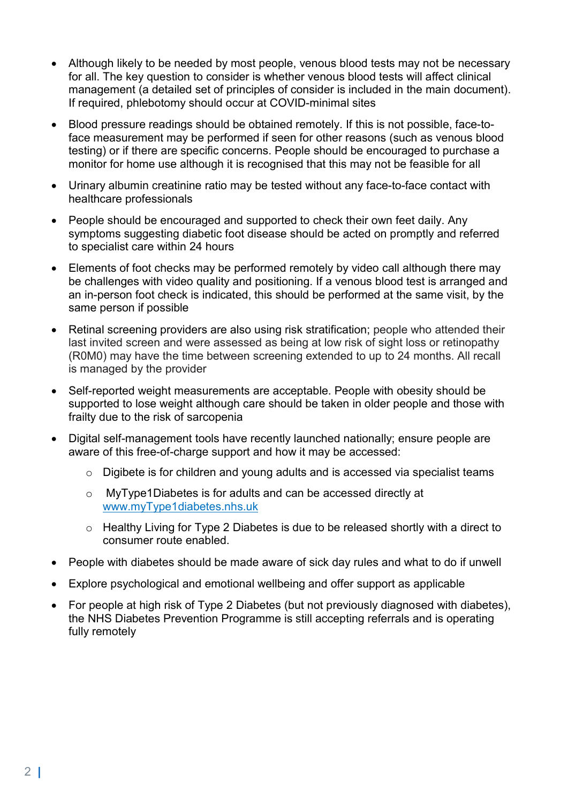- Although likely to be needed by most people, venous blood tests may not be necessary for all. The key question to consider is whether venous blood tests will affect clinical management (a detailed set of principles of consider is included in the main document). If required, phlebotomy should occur at COVID-minimal sites
- Blood pressure readings should be obtained remotely. If this is not possible, face-toface measurement may be performed if seen for other reasons (such as venous blood testing) or if there are specific concerns. People should be encouraged to purchase a monitor for home use although it is recognised that this may not be feasible for all
- Urinary albumin creatinine ratio may be tested without any face-to-face contact with healthcare professionals
- People should be encouraged and supported to check their own feet daily. Any symptoms suggesting diabetic foot disease should be acted on promptly and referred to specialist care within 24 hours
- Elements of foot checks may be performed remotely by video call although there may be challenges with video quality and positioning. If a venous blood test is arranged and an in-person foot check is indicated, this should be performed at the same visit, by the same person if possible
- Retinal screening providers are also using risk stratification; people who attended their last invited screen and were assessed as being at low risk of sight loss or retinopathy (R0M0) may have the time between screening extended to up to 24 months. All recall is managed by the provider
- Self-reported weight measurements are acceptable. People with obesity should be supported to lose weight although care should be taken in older people and those with frailty due to the risk of sarcopenia
- Digital self-management tools have recently launched nationally; ensure people are aware of this free-of-charge support and how it may be accessed:
	- o Digibete is for children and young adults and is accessed via specialist teams
	- o MyType1Diabetes is for adults and can be accessed directly at www.myType1diabetes.nhs.uk
	- o Healthy Living for Type 2 Diabetes is due to be released shortly with a direct to consumer route enabled.
- People with diabetes should be made aware of sick day rules and what to do if unwell
- Explore psychological and emotional wellbeing and offer support as applicable
- For people at high risk of Type 2 Diabetes (but not previously diagnosed with diabetes), the NHS Diabetes Prevention Programme is still accepting referrals and is operating fully remotely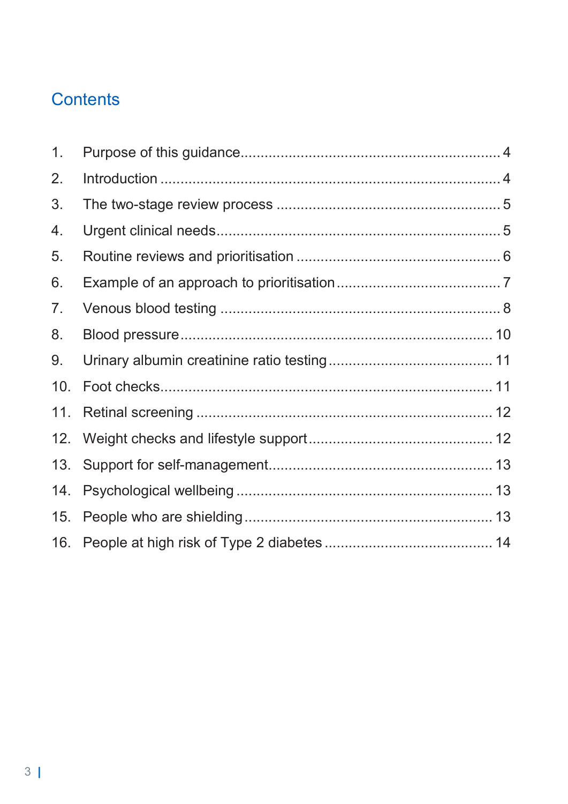# **Contents**

| 1 <sub>1</sub> |  |
|----------------|--|
| 2.             |  |
| 3.             |  |
| 4.             |  |
| 5.             |  |
| 6.             |  |
| 7.             |  |
| 8.             |  |
| 9.             |  |
| 10.            |  |
| 11.            |  |
| 12.            |  |
| 13.            |  |
| 14.            |  |
| 15.            |  |
| 16.            |  |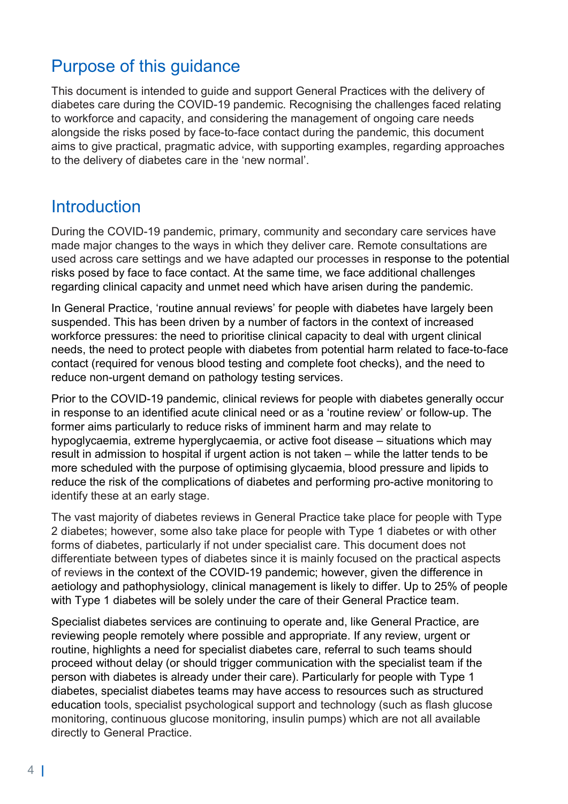## Purpose of this guidance

This document is intended to guide and support General Practices with the delivery of diabetes care during the COVID-19 pandemic. Recognising the challenges faced relating to workforce and capacity, and considering the management of ongoing care needs alongside the risks posed by face-to-face contact during the pandemic, this document aims to give practical, pragmatic advice, with supporting examples, regarding approaches to the delivery of diabetes care in the 'new normal'.

#### **Introduction**

During the COVID-19 pandemic, primary, community and secondary care services have made major changes to the ways in which they deliver care. Remote consultations are used across care settings and we have adapted our processes in response to the potential risks posed by face to face contact. At the same time, we face additional challenges regarding clinical capacity and unmet need which have arisen during the pandemic.

In General Practice, 'routine annual reviews' for people with diabetes have largely been suspended. This has been driven by a number of factors in the context of increased workforce pressures: the need to prioritise clinical capacity to deal with urgent clinical needs, the need to protect people with diabetes from potential harm related to face-to-face contact (required for venous blood testing and complete foot checks), and the need to reduce non-urgent demand on pathology testing services.

Prior to the COVID-19 pandemic, clinical reviews for people with diabetes generally occur in response to an identified acute clinical need or as a 'routine review' or follow-up. The former aims particularly to reduce risks of imminent harm and may relate to hypoglycaemia, extreme hyperglycaemia, or active foot disease – situations which may result in admission to hospital if urgent action is not taken – while the latter tends to be more scheduled with the purpose of optimising glycaemia, blood pressure and lipids to reduce the risk of the complications of diabetes and performing pro-active monitoring to identify these at an early stage.

The vast majority of diabetes reviews in General Practice take place for people with Type 2 diabetes; however, some also take place for people with Type 1 diabetes or with other forms of diabetes, particularly if not under specialist care. This document does not differentiate between types of diabetes since it is mainly focused on the practical aspects of reviews in the context of the COVID-19 pandemic; however, given the difference in aetiology and pathophysiology, clinical management is likely to differ. Up to 25% of people with Type 1 diabetes will be solely under the care of their General Practice team.

Specialist diabetes services are continuing to operate and, like General Practice, are reviewing people remotely where possible and appropriate. If any review, urgent or routine, highlights a need for specialist diabetes care, referral to such teams should proceed without delay (or should trigger communication with the specialist team if the person with diabetes is already under their care). Particularly for people with Type 1 diabetes, specialist diabetes teams may have access to resources such as structured education tools, specialist psychological support and technology (such as flash glucose monitoring, continuous glucose monitoring, insulin pumps) which are not all available directly to General Practice.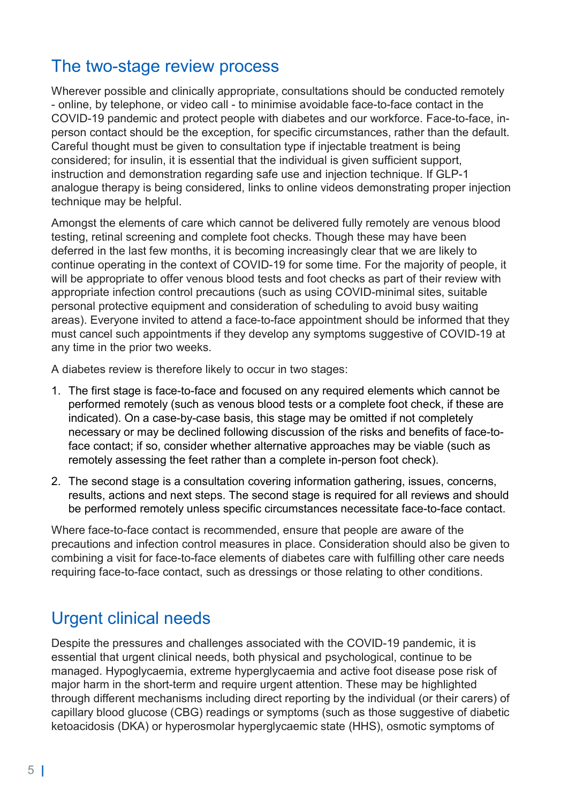#### The two-stage review process

Wherever possible and clinically appropriate, consultations should be conducted remotely - online, by telephone, or video call - to minimise avoidable face-to-face contact in the COVID-19 pandemic and protect people with diabetes and our workforce. Face-to-face, inperson contact should be the exception, for specific circumstances, rather than the default. Careful thought must be given to consultation type if injectable treatment is being considered; for insulin, it is essential that the individual is given sufficient support, instruction and demonstration regarding safe use and injection technique. If GLP-1 analogue therapy is being considered, links to online videos demonstrating proper injection technique may be helpful.

Amongst the elements of care which cannot be delivered fully remotely are venous blood testing, retinal screening and complete foot checks. Though these may have been deferred in the last few months, it is becoming increasingly clear that we are likely to continue operating in the context of COVID-19 for some time. For the majority of people, it will be appropriate to offer venous blood tests and foot checks as part of their review with appropriate infection control precautions (such as using COVID-minimal sites, suitable personal protective equipment and consideration of scheduling to avoid busy waiting areas). Everyone invited to attend a face-to-face appointment should be informed that they must cancel such appointments if they develop any symptoms suggestive of COVID-19 at any time in the prior two weeks.

A diabetes review is therefore likely to occur in two stages:

- 1. The first stage is face-to-face and focused on any required elements which cannot be performed remotely (such as venous blood tests or a complete foot check, if these are indicated). On a case-by-case basis, this stage may be omitted if not completely necessary or may be declined following discussion of the risks and benefits of face-toface contact; if so, consider whether alternative approaches may be viable (such as remotely assessing the feet rather than a complete in-person foot check).
- 2. The second stage is a consultation covering information gathering, issues, concerns, results, actions and next steps. The second stage is required for all reviews and should be performed remotely unless specific circumstances necessitate face-to-face contact.

Where face-to-face contact is recommended, ensure that people are aware of the precautions and infection control measures in place. Consideration should also be given to combining a visit for face-to-face elements of diabetes care with fulfilling other care needs requiring face-to-face contact, such as dressings or those relating to other conditions.

## Urgent clinical needs

Despite the pressures and challenges associated with the COVID-19 pandemic, it is essential that urgent clinical needs, both physical and psychological, continue to be managed. Hypoglycaemia, extreme hyperglycaemia and active foot disease pose risk of major harm in the short-term and require urgent attention. These may be highlighted through different mechanisms including direct reporting by the individual (or their carers) of capillary blood glucose (CBG) readings or symptoms (such as those suggestive of diabetic ketoacidosis (DKA) or hyperosmolar hyperglycaemic state (HHS), osmotic symptoms of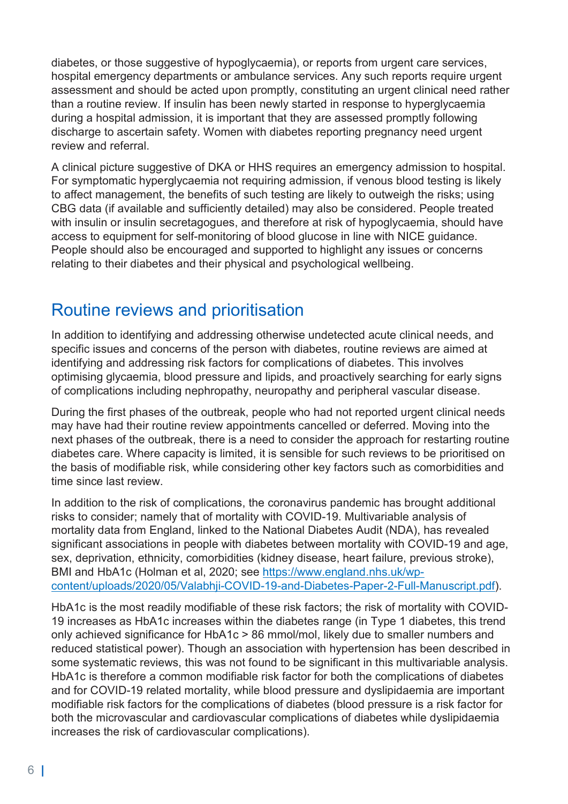diabetes, or those suggestive of hypoglycaemia), or reports from urgent care services, hospital emergency departments or ambulance services. Any such reports require urgent assessment and should be acted upon promptly, constituting an urgent clinical need rather than a routine review. If insulin has been newly started in response to hyperglycaemia during a hospital admission, it is important that they are assessed promptly following discharge to ascertain safety. Women with diabetes reporting pregnancy need urgent review and referral.

A clinical picture suggestive of DKA or HHS requires an emergency admission to hospital. For symptomatic hyperglycaemia not requiring admission, if venous blood testing is likely to affect management, the benefits of such testing are likely to outweigh the risks; using CBG data (if available and sufficiently detailed) may also be considered. People treated with insulin or insulin secretagogues, and therefore at risk of hypoglycaemia, should have access to equipment for self-monitoring of blood glucose in line with NICE guidance. People should also be encouraged and supported to highlight any issues or concerns relating to their diabetes and their physical and psychological wellbeing.

## Routine reviews and prioritisation

In addition to identifying and addressing otherwise undetected acute clinical needs, and specific issues and concerns of the person with diabetes, routine reviews are aimed at identifying and addressing risk factors for complications of diabetes. This involves optimising glycaemia, blood pressure and lipids, and proactively searching for early signs of complications including nephropathy, neuropathy and peripheral vascular disease.

During the first phases of the outbreak, people who had not reported urgent clinical needs may have had their routine review appointments cancelled or deferred. Moving into the next phases of the outbreak, there is a need to consider the approach for restarting routine diabetes care. Where capacity is limited, it is sensible for such reviews to be prioritised on the basis of modifiable risk, while considering other key factors such as comorbidities and time since last review.

In addition to the risk of complications, the coronavirus pandemic has brought additional risks to consider; namely that of mortality with COVID-19. Multivariable analysis of mortality data from England, linked to the National Diabetes Audit (NDA), has revealed significant associations in people with diabetes between mortality with COVID-19 and age, sex, deprivation, ethnicity, comorbidities (kidney disease, heart failure, previous stroke), BMI and HbA1c (Holman et al, 2020; see https://www.england.nhs.uk/wpcontent/uploads/2020/05/Valabhji-COVID-19-and-Diabetes-Paper-2-Full-Manuscript.pdf).

HbA1c is the most readily modifiable of these risk factors; the risk of mortality with COVID-19 increases as HbA1c increases within the diabetes range (in Type 1 diabetes, this trend only achieved significance for HbA1c > 86 mmol/mol, likely due to smaller numbers and reduced statistical power). Though an association with hypertension has been described in some systematic reviews, this was not found to be significant in this multivariable analysis. HbA1c is therefore a common modifiable risk factor for both the complications of diabetes and for COVID-19 related mortality, while blood pressure and dyslipidaemia are important modifiable risk factors for the complications of diabetes (blood pressure is a risk factor for both the microvascular and cardiovascular complications of diabetes while dyslipidaemia increases the risk of cardiovascular complications).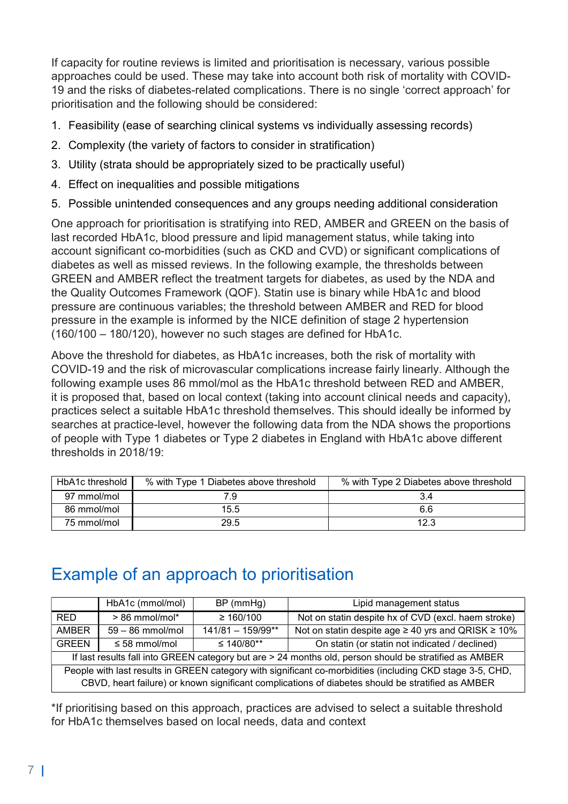If capacity for routine reviews is limited and prioritisation is necessary, various possible approaches could be used. These may take into account both risk of mortality with COVID-19 and the risks of diabetes-related complications. There is no single 'correct approach' for prioritisation and the following should be considered:

- 1. Feasibility (ease of searching clinical systems vs individually assessing records)
- 2. Complexity (the variety of factors to consider in stratification)
- 3. Utility (strata should be appropriately sized to be practically useful)
- 4. Effect on inequalities and possible mitigations
- 5. Possible unintended consequences and any groups needing additional consideration

One approach for prioritisation is stratifying into RED, AMBER and GREEN on the basis of last recorded HbA1c, blood pressure and lipid management status, while taking into account significant co-morbidities (such as CKD and CVD) or significant complications of diabetes as well as missed reviews. In the following example, the thresholds between GREEN and AMBER reflect the treatment targets for diabetes, as used by the NDA and the Quality Outcomes Framework (QOF). Statin use is binary while HbA1c and blood pressure are continuous variables; the threshold between AMBER and RED for blood pressure in the example is informed by the NICE definition of stage 2 hypertension (160/100 – 180/120), however no such stages are defined for HbA1c.

Above the threshold for diabetes, as HbA1c increases, both the risk of mortality with COVID-19 and the risk of microvascular complications increase fairly linearly. Although the following example uses 86 mmol/mol as the HbA1c threshold between RED and AMBER, it is proposed that, based on local context (taking into account clinical needs and capacity), practices select a suitable HbA1c threshold themselves. This should ideally be informed by searches at practice-level, however the following data from the NDA shows the proportions of people with Type 1 diabetes or Type 2 diabetes in England with HbA1c above different thresholds in 2018/19:

| HbA1c threshold | % with Type 1 Diabetes above threshold | % with Type 2 Diabetes above threshold |
|-----------------|----------------------------------------|----------------------------------------|
| 97 mmol/mol     | 79                                     |                                        |
| 86 mmol/mol     | 15.5                                   | 6.6                                    |
| 75 mmol/mol     | 29.5                                   | 12.3                                   |

## Example of an approach to prioritisation

|                                                                                                                                                                                                                | HbA1c (mmol/mol)   | $BP$ (mmHg)         | Lipid management status                                       |  |  |
|----------------------------------------------------------------------------------------------------------------------------------------------------------------------------------------------------------------|--------------------|---------------------|---------------------------------------------------------------|--|--|
| RED.                                                                                                                                                                                                           | $> 86$ mmol/mol*   | $\geq 160/100$      | Not on statin despite hx of CVD (excl. haem stroke)           |  |  |
| <b>AMBER</b>                                                                                                                                                                                                   | $59 - 86$ mmol/mol | $141/81 - 159/99**$ | Not on statin despite age $\geq 40$ yrs and QRISK $\geq 10\%$ |  |  |
| <b>GREEN</b>                                                                                                                                                                                                   | ≤ 58 mmol/mol      | ≤ 140/80**          | On statin (or statin not indicated / declined)                |  |  |
| If last results fall into GREEN category but are > 24 months old, person should be stratified as AMBER                                                                                                         |                    |                     |                                                               |  |  |
| People with last results in GREEN category with significant co-morbidities (including CKD stage 3-5, CHD,<br>CBVD, heart failure) or known significant complications of diabetes should be stratified as AMBER |                    |                     |                                                               |  |  |

\*If prioritising based on this approach, practices are advised to select a suitable threshold for HbA1c themselves based on local needs, data and context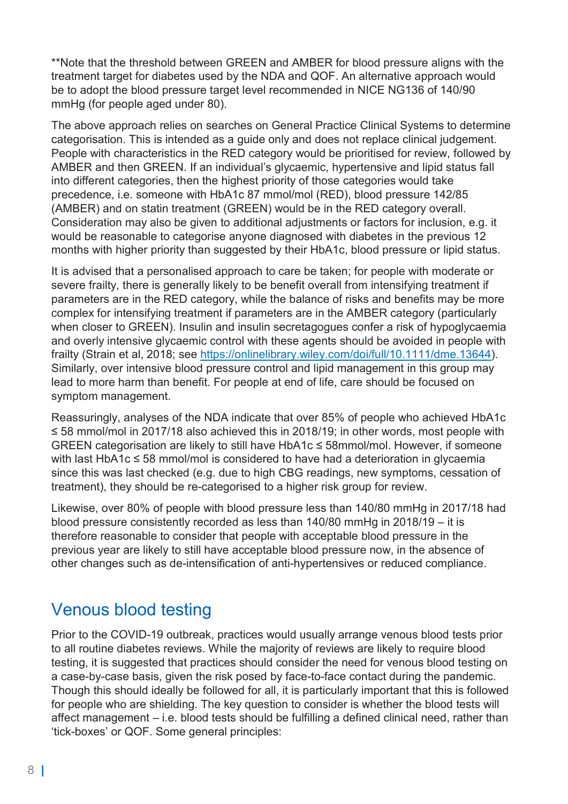\*\*Note that the threshold between GREEN and AMBER for blood pressure aligns with the treatment target for diabetes used by the NDA and QOF. An alternative approach would be to adopt the blood pressure target level recommended in NICE NG136 of 140/90 mmHg (for people aged under 80).

The above approach relies on searches on General Practice Clinical Systems to determine categorisation. This is intended as a guide only and does not replace clinical judgement. People with characteristics in the RED category would be prioritised for review, followed by AMBER and then GREEN. If an individual's glycaemic, hypertensive and lipid status fall into different categories, then the highest priority of those categories would take precedence, i.e. someone with HbA1c 87 mmol/mol (RED), blood pressure 142/85 (AMBER) and on statin treatment (GREEN) would be in the RED category overall. Consideration may also be given to additional adjustments or factors for inclusion, e.g. it would be reasonable to categorise anyone diagnosed with diabetes in the previous 12 months with higher priority than suggested by their HbA1c, blood pressure or lipid status.

It is advised that a personalised approach to care be taken; for people with moderate or severe frailty, there is generally likely to be benefit overall from intensifying treatment if parameters are in the RED category, while the balance of risks and benefits may be more complex for intensifying treatment if parameters are in the AMBER category (particularly when closer to GREEN). Insulin and insulin secretagogues confer a risk of hypoglycaemia and overly intensive glycaemic control with these agents should be avoided in people with frailty (Strain et al, 2018; see https://onlinelibrary.wiley.com/doi/full/10.1111/dme.13644). Similarly, over intensive blood pressure control and lipid management in this group may lead to more harm than benefit. For people at end of life, care should be focused on symptom management.

Reassuringly, analyses of the NDA indicate that over 85% of people who achieved HbA1c ≤ 58 mmol/mol in 2017/18 also achieved this in 2018/19; in other words, most people with GREEN categorisation are likely to still have HbA1c ≤ 58mmol/mol. However, if someone with last HbA1c ≤ 58 mmol/mol is considered to have had a deterioration in glycaemia since this was last checked (e.g. due to high CBG readings, new symptoms, cessation of treatment), they should be re-categorised to a higher risk group for review.

Likewise, over 80% of people with blood pressure less than 140/80 mmHg in 2017/18 had blood pressure consistently recorded as less than 140/80 mmHg in 2018/19 – it is therefore reasonable to consider that people with acceptable blood pressure in the previous year are likely to still have acceptable blood pressure now, in the absence of other changes such as de-intensification of anti-hypertensives or reduced compliance.

## Venous blood testing

Prior to the COVID-19 outbreak, practices would usually arrange venous blood tests prior to all routine diabetes reviews. While the majority of reviews are likely to require blood testing, it is suggested that practices should consider the need for venous blood testing on a case-by-case basis, given the risk posed by face-to-face contact during the pandemic. Though this should ideally be followed for all, it is particularly important that this is followed for people who are shielding. The key question to consider is whether the blood tests will affect management – i.e. blood tests should be fulfilling a defined clinical need, rather than 'tick-boxes' or QOF. Some general principles: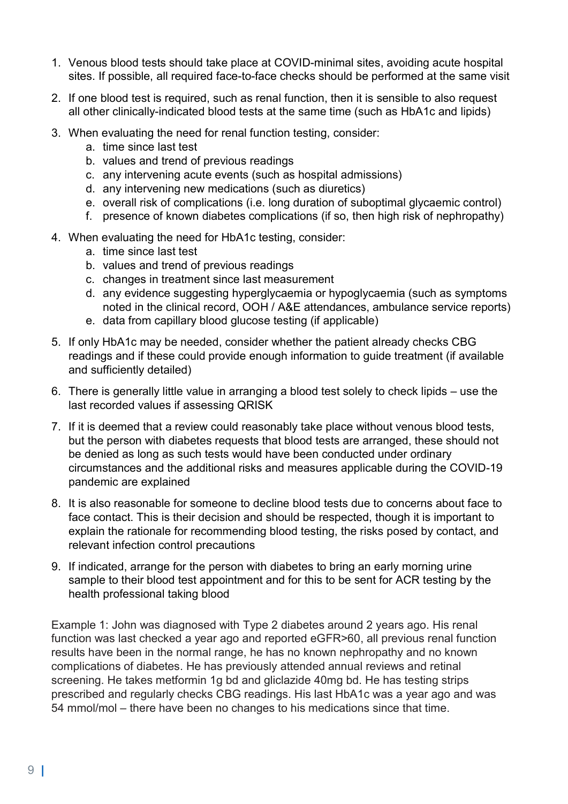- 1. Venous blood tests should take place at COVID-minimal sites, avoiding acute hospital sites. If possible, all required face-to-face checks should be performed at the same visit
- 2. If one blood test is required, such as renal function, then it is sensible to also request all other clinically-indicated blood tests at the same time (such as HbA1c and lipids)
- 3. When evaluating the need for renal function testing, consider:
	- a. time since last test
	- b. values and trend of previous readings
	- c. any intervening acute events (such as hospital admissions)
	- d. any intervening new medications (such as diuretics)
	- e. overall risk of complications (i.e. long duration of suboptimal glycaemic control)
	- f. presence of known diabetes complications (if so, then high risk of nephropathy)
- 4. When evaluating the need for HbA1c testing, consider:
	- a. time since last test
	- b. values and trend of previous readings
	- c. changes in treatment since last measurement
	- d. any evidence suggesting hyperglycaemia or hypoglycaemia (such as symptoms noted in the clinical record, OOH / A&E attendances, ambulance service reports)
	- e. data from capillary blood glucose testing (if applicable)
- 5. If only HbA1c may be needed, consider whether the patient already checks CBG readings and if these could provide enough information to guide treatment (if available and sufficiently detailed)
- 6. There is generally little value in arranging a blood test solely to check lipids use the last recorded values if assessing QRISK
- 7. If it is deemed that a review could reasonably take place without venous blood tests, but the person with diabetes requests that blood tests are arranged, these should not be denied as long as such tests would have been conducted under ordinary circumstances and the additional risks and measures applicable during the COVID-19 pandemic are explained
- 8. It is also reasonable for someone to decline blood tests due to concerns about face to face contact. This is their decision and should be respected, though it is important to explain the rationale for recommending blood testing, the risks posed by contact, and relevant infection control precautions
- 9. If indicated, arrange for the person with diabetes to bring an early morning urine sample to their blood test appointment and for this to be sent for ACR testing by the health professional taking blood

Example 1: John was diagnosed with Type 2 diabetes around 2 years ago. His renal function was last checked a year ago and reported eGFR>60, all previous renal function results have been in the normal range, he has no known nephropathy and no known complications of diabetes. He has previously attended annual reviews and retinal screening. He takes metformin 1g bd and gliclazide 40mg bd. He has testing strips prescribed and regularly checks CBG readings. His last HbA1c was a year ago and was 54 mmol/mol – there have been no changes to his medications since that time.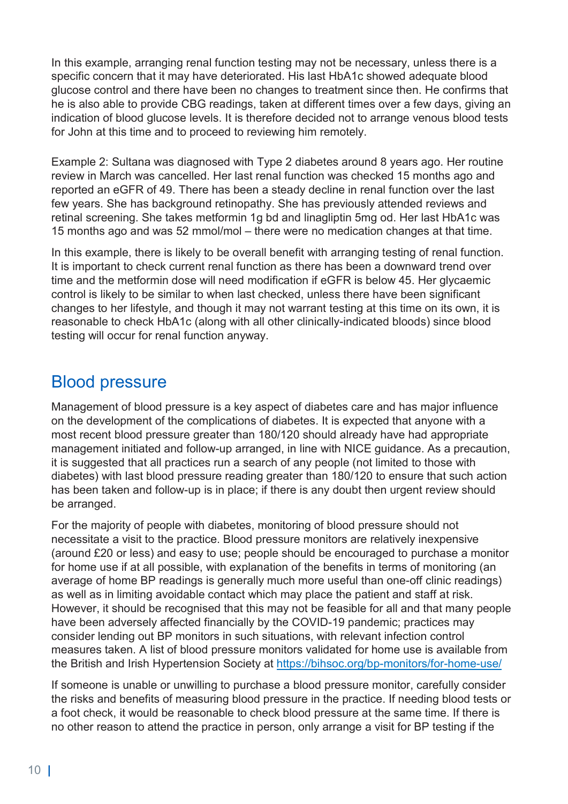In this example, arranging renal function testing may not be necessary, unless there is a specific concern that it may have deteriorated. His last HbA1c showed adequate blood glucose control and there have been no changes to treatment since then. He confirms that he is also able to provide CBG readings, taken at different times over a few days, giving an indication of blood glucose levels. It is therefore decided not to arrange venous blood tests for John at this time and to proceed to reviewing him remotely.

Example 2: Sultana was diagnosed with Type 2 diabetes around 8 years ago. Her routine review in March was cancelled. Her last renal function was checked 15 months ago and reported an eGFR of 49. There has been a steady decline in renal function over the last few years. She has background retinopathy. She has previously attended reviews and retinal screening. She takes metformin 1g bd and linagliptin 5mg od. Her last HbA1c was 15 months ago and was 52 mmol/mol – there were no medication changes at that time.

In this example, there is likely to be overall benefit with arranging testing of renal function. It is important to check current renal function as there has been a downward trend over time and the metformin dose will need modification if eGFR is below 45. Her glycaemic control is likely to be similar to when last checked, unless there have been significant changes to her lifestyle, and though it may not warrant testing at this time on its own, it is reasonable to check HbA1c (along with all other clinically-indicated bloods) since blood testing will occur for renal function anyway.

#### Blood pressure

Management of blood pressure is a key aspect of diabetes care and has major influence on the development of the complications of diabetes. It is expected that anyone with a most recent blood pressure greater than 180/120 should already have had appropriate management initiated and follow-up arranged, in line with NICE guidance. As a precaution, it is suggested that all practices run a search of any people (not limited to those with diabetes) with last blood pressure reading greater than 180/120 to ensure that such action has been taken and follow-up is in place; if there is any doubt then urgent review should be arranged.

For the majority of people with diabetes, monitoring of blood pressure should not necessitate a visit to the practice. Blood pressure monitors are relatively inexpensive (around £20 or less) and easy to use; people should be encouraged to purchase a monitor for home use if at all possible, with explanation of the benefits in terms of monitoring (an average of home BP readings is generally much more useful than one-off clinic readings) as well as in limiting avoidable contact which may place the patient and staff at risk. However, it should be recognised that this may not be feasible for all and that many people have been adversely affected financially by the COVID-19 pandemic; practices may consider lending out BP monitors in such situations, with relevant infection control measures taken. A list of blood pressure monitors validated for home use is available from the British and Irish Hypertension Society at https://bihsoc.org/bp-monitors/for-home-use/

If someone is unable or unwilling to purchase a blood pressure monitor, carefully consider the risks and benefits of measuring blood pressure in the practice. If needing blood tests or a foot check, it would be reasonable to check blood pressure at the same time. If there is no other reason to attend the practice in person, only arrange a visit for BP testing if the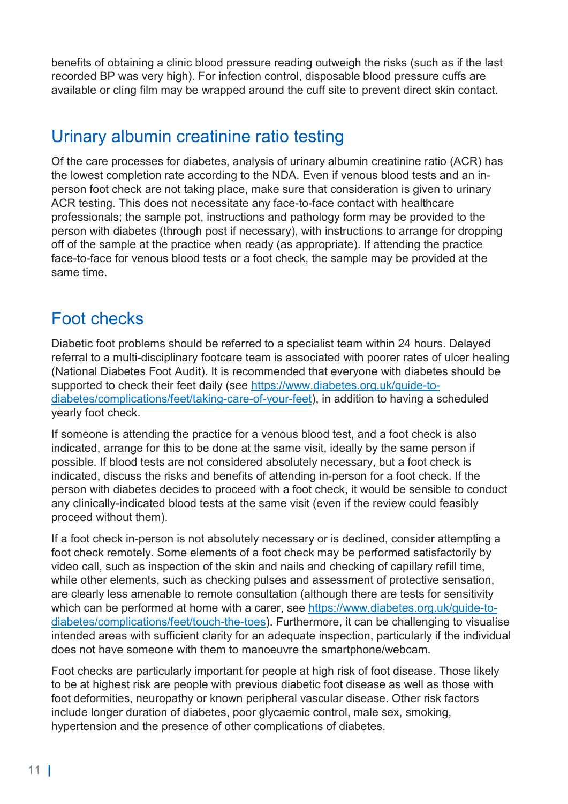benefits of obtaining a clinic blood pressure reading outweigh the risks (such as if the last recorded BP was very high). For infection control, disposable blood pressure cuffs are available or cling film may be wrapped around the cuff site to prevent direct skin contact.

## Urinary albumin creatinine ratio testing

Of the care processes for diabetes, analysis of urinary albumin creatinine ratio (ACR) has the lowest completion rate according to the NDA. Even if venous blood tests and an inperson foot check are not taking place, make sure that consideration is given to urinary ACR testing. This does not necessitate any face-to-face contact with healthcare professionals; the sample pot, instructions and pathology form may be provided to the person with diabetes (through post if necessary), with instructions to arrange for dropping off of the sample at the practice when ready (as appropriate). If attending the practice face-to-face for venous blood tests or a foot check, the sample may be provided at the same time.

## Foot checks

Diabetic foot problems should be referred to a specialist team within 24 hours. Delayed referral to a multi-disciplinary footcare team is associated with poorer rates of ulcer healing (National Diabetes Foot Audit). It is recommended that everyone with diabetes should be supported to check their feet daily (see https://www.diabetes.org.uk/guide-todiabetes/complications/feet/taking-care-of-your-feet), in addition to having a scheduled yearly foot check.

If someone is attending the practice for a venous blood test, and a foot check is also indicated, arrange for this to be done at the same visit, ideally by the same person if possible. If blood tests are not considered absolutely necessary, but a foot check is indicated, discuss the risks and benefits of attending in-person for a foot check. If the person with diabetes decides to proceed with a foot check, it would be sensible to conduct any clinically-indicated blood tests at the same visit (even if the review could feasibly proceed without them).

If a foot check in-person is not absolutely necessary or is declined, consider attempting a foot check remotely. Some elements of a foot check may be performed satisfactorily by video call, such as inspection of the skin and nails and checking of capillary refill time, while other elements, such as checking pulses and assessment of protective sensation, are clearly less amenable to remote consultation (although there are tests for sensitivity which can be performed at home with a carer, see https://www.diabetes.org.uk/guide-todiabetes/complications/feet/touch-the-toes). Furthermore, it can be challenging to visualise intended areas with sufficient clarity for an adequate inspection, particularly if the individual does not have someone with them to manoeuvre the smartphone/webcam.

Foot checks are particularly important for people at high risk of foot disease. Those likely to be at highest risk are people with previous diabetic foot disease as well as those with foot deformities, neuropathy or known peripheral vascular disease. Other risk factors include longer duration of diabetes, poor glycaemic control, male sex, smoking, hypertension and the presence of other complications of diabetes.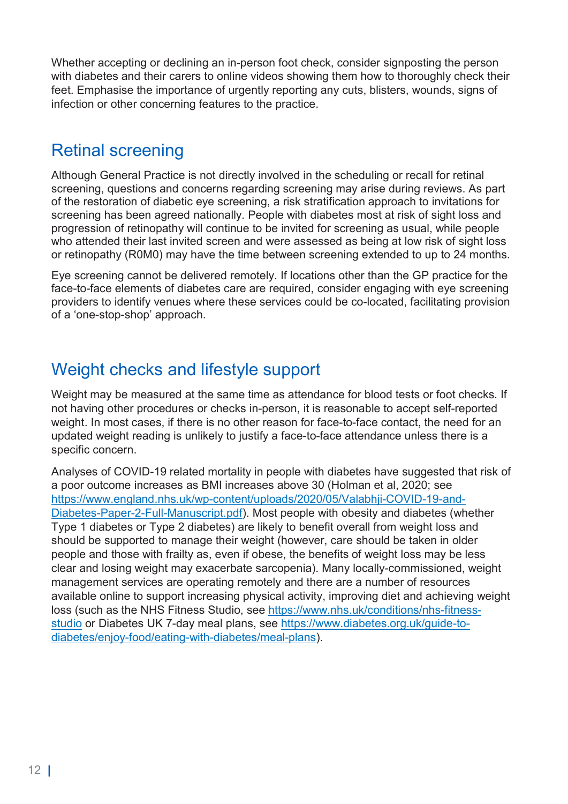Whether accepting or declining an in-person foot check, consider signposting the person with diabetes and their carers to online videos showing them how to thoroughly check their feet. Emphasise the importance of urgently reporting any cuts, blisters, wounds, signs of infection or other concerning features to the practice.

## Retinal screening

Although General Practice is not directly involved in the scheduling or recall for retinal screening, questions and concerns regarding screening may arise during reviews. As part of the restoration of diabetic eye screening, a risk stratification approach to invitations for screening has been agreed nationally. People with diabetes most at risk of sight loss and progression of retinopathy will continue to be invited for screening as usual, while people who attended their last invited screen and were assessed as being at low risk of sight loss or retinopathy (R0M0) may have the time between screening extended to up to 24 months.

Eye screening cannot be delivered remotely. If locations other than the GP practice for the face-to-face elements of diabetes care are required, consider engaging with eye screening providers to identify venues where these services could be co-located, facilitating provision of a 'one-stop-shop' approach.

## Weight checks and lifestyle support

Weight may be measured at the same time as attendance for blood tests or foot checks. If not having other procedures or checks in-person, it is reasonable to accept self-reported weight. In most cases, if there is no other reason for face-to-face contact, the need for an updated weight reading is unlikely to justify a face-to-face attendance unless there is a specific concern.

Analyses of COVID-19 related mortality in people with diabetes have suggested that risk of a poor outcome increases as BMI increases above 30 (Holman et al, 2020; see https://www.england.nhs.uk/wp-content/uploads/2020/05/Valabhji-COVID-19-and-Diabetes-Paper-2-Full-Manuscript.pdf). Most people with obesity and diabetes (whether Type 1 diabetes or Type 2 diabetes) are likely to benefit overall from weight loss and should be supported to manage their weight (however, care should be taken in older people and those with frailty as, even if obese, the benefits of weight loss may be less clear and losing weight may exacerbate sarcopenia). Many locally-commissioned, weight management services are operating remotely and there are a number of resources available online to support increasing physical activity, improving diet and achieving weight loss (such as the NHS Fitness Studio, see https://www.nhs.uk/conditions/nhs-fitnessstudio or Diabetes UK 7-day meal plans, see https://www.diabetes.org.uk/guide-todiabetes/enjoy-food/eating-with-diabetes/meal-plans).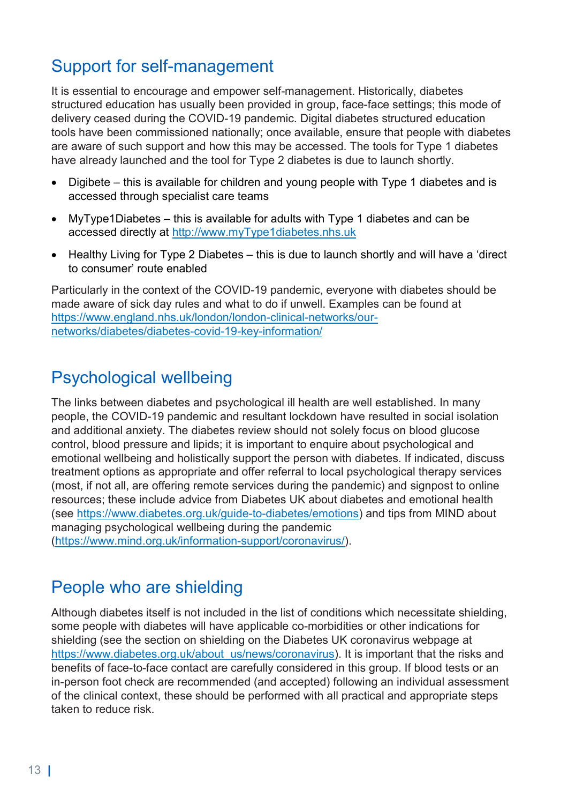## Support for self-management

It is essential to encourage and empower self-management. Historically, diabetes structured education has usually been provided in group, face-face settings; this mode of delivery ceased during the COVID-19 pandemic. Digital diabetes structured education tools have been commissioned nationally; once available, ensure that people with diabetes are aware of such support and how this may be accessed. The tools for Type 1 diabetes have already launched and the tool for Type 2 diabetes is due to launch shortly.

- Digibete this is available for children and young people with Type 1 diabetes and is accessed through specialist care teams
- MyType1Diabetes this is available for adults with Type 1 diabetes and can be accessed directly at http://www.myType1diabetes.nhs.uk
- Healthy Living for Type 2 Diabetes this is due to launch shortly and will have a 'direct to consumer' route enabled

Particularly in the context of the COVID-19 pandemic, everyone with diabetes should be made aware of sick day rules and what to do if unwell. Examples can be found at https://www.england.nhs.uk/london/london-clinical-networks/ournetworks/diabetes/diabetes-covid-19-key-information/

## Psychological wellbeing

The links between diabetes and psychological ill health are well established. In many people, the COVID-19 pandemic and resultant lockdown have resulted in social isolation and additional anxiety. The diabetes review should not solely focus on blood glucose control, blood pressure and lipids; it is important to enquire about psychological and emotional wellbeing and holistically support the person with diabetes. If indicated, discuss treatment options as appropriate and offer referral to local psychological therapy services (most, if not all, are offering remote services during the pandemic) and signpost to online resources; these include advice from Diabetes UK about diabetes and emotional health (see https://www.diabetes.org.uk/guide-to-diabetes/emotions) and tips from MIND about managing psychological wellbeing during the pandemic (https://www.mind.org.uk/information-support/coronavirus/).

## People who are shielding

Although diabetes itself is not included in the list of conditions which necessitate shielding, some people with diabetes will have applicable co-morbidities or other indications for shielding (see the section on shielding on the Diabetes UK coronavirus webpage at https://www.diabetes.org.uk/about\_us/news/coronavirus). It is important that the risks and benefits of face-to-face contact are carefully considered in this group. If blood tests or an in-person foot check are recommended (and accepted) following an individual assessment of the clinical context, these should be performed with all practical and appropriate steps taken to reduce risk.